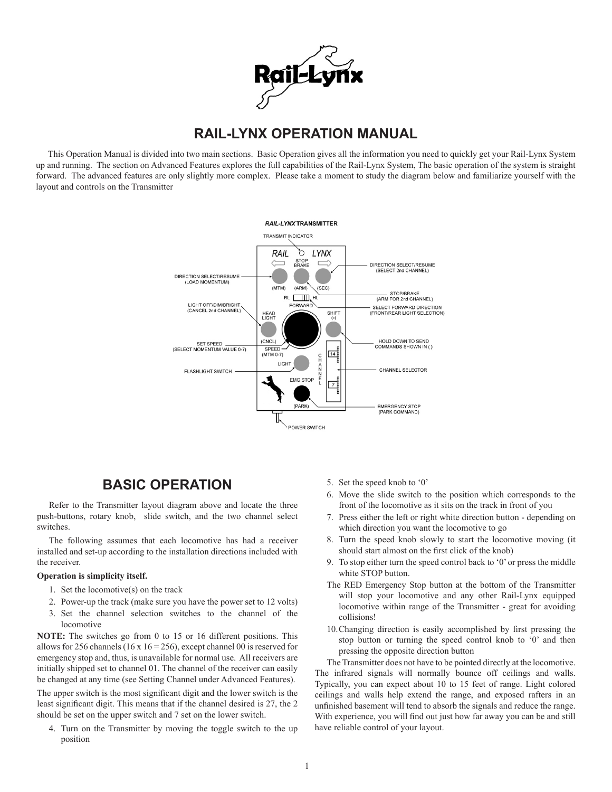

# **RAIL-LYNX OPERATION MANUAL**

This Operation Manual is divided into two main sections. Basic Operation gives all the information you need to quickly get your Rail-Lynx System up and running. The section on Advanced Features explores the full capabilities of the Rail-Lynx System, The basic operation of the system is straight forward. The advanced features are only slightly more complex. Please take a moment to study the diagram below and familiarize yourself with the layout and controls on the Transmitter



## **BASIC OPERATION**

Refer to the Transmitter layout diagram above and locate the three push-buttons, rotary knob, slide switch, and the two channel select switches.

The following assumes that each locomotive has had a receiver installed and set-up according to the installation directions included with the receiver.

#### **Operation is simplicity itself.**

- 1. Set the locomotive(s) on the track
- 2. Power-up the track (make sure you have the power set to 12 volts)
- 3. Set the channel selection switches to the channel of the locomotive

**NOTE:** The switches go from 0 to 15 or 16 different positions. This allows for 256 channels (16 x 16 = 256), except channel 00 is reserved for emergency stop and, thus, is unavailable for normal use. All receivers are initially shipped set to channel 01. The channel of the receiver can easily be changed at any time (see Setting Channel under Advanced Features).

The upper switch is the most significant digit and the lower switch is the least significant digit. This means that if the channel desired is 27, the 2 should be set on the upper switch and 7 set on the lower switch.

4. Turn on the Transmitter by moving the toggle switch to the up position

- 5. Set the speed knob to '0'
- 6. Move the slide switch to the position which corresponds to the front of the locomotive as it sits on the track in front of you
- 7. Press either the left or right white direction button depending on which direction you want the locomotive to go
- 8. Turn the speed knob slowly to start the locomotive moving (it should start almost on the first click of the knob)
- 9. To stop either turn the speed control back to '0' or press the middle white STOP button.
- The RED Emergency Stop button at the bottom of the Transmitter will stop your locomotive and any other Rail-Lynx equipped locomotive within range of the Transmitter - great for avoiding collisions!
- 10.Changing direction is easily accomplished by first pressing the stop button or turning the speed control knob to '0' and then pressing the opposite direction button

The Transmitter does not have to be pointed directly at the locomotive. The infrared signals will normally bounce off ceilings and walls. Typically, you can expect about 10 to 15 feet of range. Light colored ceilings and walls help extend the range, and exposed rafters in an unfinished basement will tend to absorb the signals and reduce the range. With experience, you will find out just how far away you can be and still have reliable control of your layout.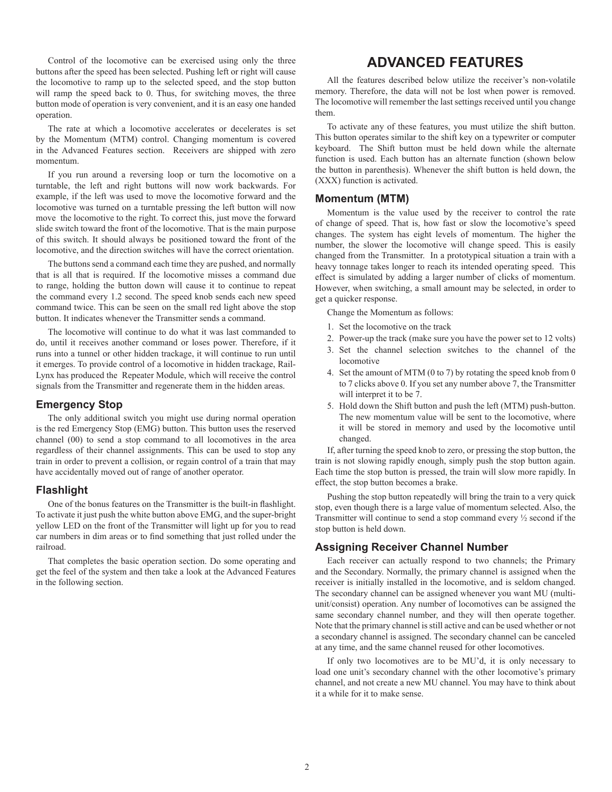Control of the locomotive can be exercised using only the three buttons after the speed has been selected. Pushing left or right will cause the locomotive to ramp up to the selected speed, and the stop button will ramp the speed back to 0. Thus, for switching moves, the three button mode of operation is very convenient, and it is an easy one handed operation.

The rate at which a locomotive accelerates or decelerates is set by the Momentum (MTM) control. Changing momentum is covered in the Advanced Features section. Receivers are shipped with zero momentum.

If you run around a reversing loop or turn the locomotive on a turntable, the left and right buttons will now work backwards. For example, if the left was used to move the locomotive forward and the locomotive was turned on a turntable pressing the left button will now move the locomotive to the right. To correct this, just move the forward slide switch toward the front of the locomotive. That is the main purpose of this switch. It should always be positioned toward the front of the locomotive, and the direction switches will have the correct orientation.

The buttons send a command each time they are pushed, and normally that is all that is required. If the locomotive misses a command due to range, holding the button down will cause it to continue to repeat the command every 1.2 second. The speed knob sends each new speed command twice. This can be seen on the small red light above the stop button. It indicates whenever the Transmitter sends a command.

The locomotive will continue to do what it was last commanded to do, until it receives another command or loses power. Therefore, if it runs into a tunnel or other hidden trackage, it will continue to run until it emerges. To provide control of a locomotive in hidden trackage, Rail-Lynx has produced the Repeater Module, which will receive the control signals from the Transmitter and regenerate them in the hidden areas.

#### **Emergency Stop**

The only additional switch you might use during normal operation is the red Emergency Stop (EMG) button. This button uses the reserved channel (00) to send a stop command to all locomotives in the area regardless of their channel assignments. This can be used to stop any train in order to prevent a collision, or regain control of a train that may have accidentally moved out of range of another operator.

#### **Flashlight**

One of the bonus features on the Transmitter is the built-in flashlight. To activate it just push the white button above EMG, and the super-bright yellow LED on the front of the Transmitter will light up for you to read car numbers in dim areas or to find something that just rolled under the railroad.

That completes the basic operation section. Do some operating and get the feel of the system and then take a look at the Advanced Features in the following section.

## **ADVANCED FEATURES**

All the features described below utilize the receiver's non-volatile memory. Therefore, the data will not be lost when power is removed. The locomotive will remember the last settings received until you change them.

To activate any of these features, you must utilize the shift button. This button operates similar to the shift key on a typewriter or computer keyboard. The Shift button must be held down while the alternate function is used. Each button has an alternate function (shown below the button in parenthesis). Whenever the shift button is held down, the (XXX) function is activated.

#### **Momentum (MTM)**

Momentum is the value used by the receiver to control the rate of change of speed. That is, how fast or slow the locomotive's speed changes. The system has eight levels of momentum. The higher the number, the slower the locomotive will change speed. This is easily changed from the Transmitter. In a prototypical situation a train with a heavy tonnage takes longer to reach its intended operating speed. This effect is simulated by adding a larger number of clicks of momentum. However, when switching, a small amount may be selected, in order to get a quicker response.

Change the Momentum as follows:

- 1. Set the locomotive on the track
- 2. Power-up the track (make sure you have the power set to 12 volts)
- 3. Set the channel selection switches to the channel of the locomotive
- 4. Set the amount of MTM (0 to 7) by rotating the speed knob from 0 to 7 clicks above 0. If you set any number above 7, the Transmitter will interpret it to be 7.
- 5. Hold down the Shift button and push the left (MTM) push-button. The new momentum value will be sent to the locomotive, where it will be stored in memory and used by the locomotive until changed.

If, after turning the speed knob to zero, or pressing the stop button, the train is not slowing rapidly enough, simply push the stop button again. Each time the stop button is pressed, the train will slow more rapidly. In effect, the stop button becomes a brake.

Pushing the stop button repeatedly will bring the train to a very quick stop, even though there is a large value of momentum selected. Also, the Transmitter will continue to send a stop command every  $\frac{1}{2}$  second if the stop button is held down.

#### **Assigning Receiver Channel Number**

Each receiver can actually respond to two channels; the Primary and the Secondary. Normally, the primary channel is assigned when the receiver is initially installed in the locomotive, and is seldom changed. The secondary channel can be assigned whenever you want MU (multiunit/consist) operation. Any number of locomotives can be assigned the same secondary channel number, and they will then operate together. Note that the primary channel is still active and can be used whether or not a secondary channel is assigned. The secondary channel can be canceled at any time, and the same channel reused for other locomotives.

If only two locomotives are to be MU'd, it is only necessary to load one unit's secondary channel with the other locomotive's primary channel, and not create a new MU channel. You may have to think about it a while for it to make sense.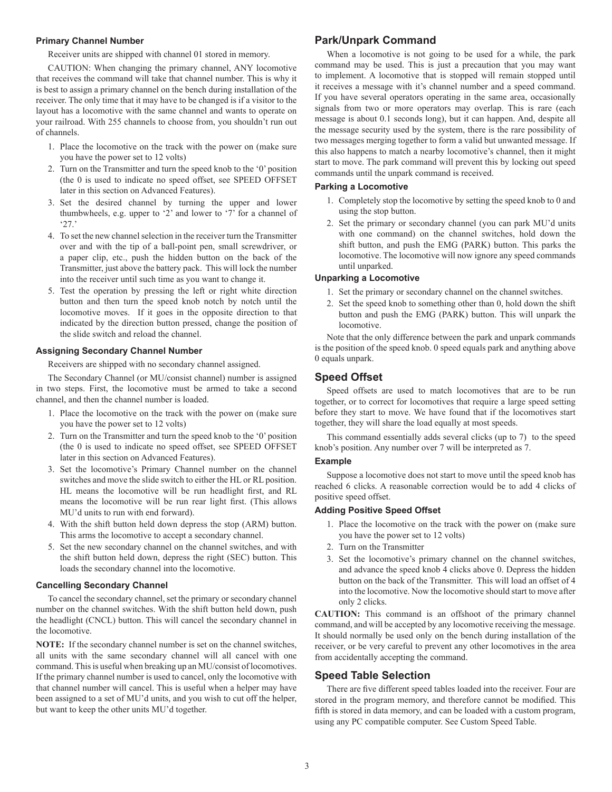#### **Primary Channel Number**

Receiver units are shipped with channel 01 stored in memory.

CAUTION: When changing the primary channel, ANY locomotive that receives the command will take that channel number. This is why it is best to assign a primary channel on the bench during installation of the receiver. The only time that it may have to be changed is if a visitor to the layout has a locomotive with the same channel and wants to operate on your railroad. With 255 channels to choose from, you shouldn't run out of channels.

- 1. Place the locomotive on the track with the power on (make sure you have the power set to 12 volts)
- 2. Turn on the Transmitter and turn the speed knob to the '0' position (the 0 is used to indicate no speed offset, see SPEED OFFSET later in this section on Advanced Features).
- 3. Set the desired channel by turning the upper and lower thumbwheels, e.g. upper to '2' and lower to '7' for a channel of '27.'
- 4. To set the new channel selection in the receiver turn the Transmitter over and with the tip of a ball-point pen, small screwdriver, or a paper clip, etc., push the hidden button on the back of the Transmitter, just above the battery pack. This will lock the number into the receiver until such time as you want to change it.
- 5. Test the operation by pressing the left or right white direction button and then turn the speed knob notch by notch until the locomotive moves. If it goes in the opposite direction to that indicated by the direction button pressed, change the position of the slide switch and reload the channel.

#### **Assigning Secondary Channel Number**

Receivers are shipped with no secondary channel assigned.

The Secondary Channel (or MU/consist channel) number is assigned in two steps. First, the locomotive must be armed to take a second channel, and then the channel number is loaded.

- 1. Place the locomotive on the track with the power on (make sure you have the power set to 12 volts)
- 2. Turn on the Transmitter and turn the speed knob to the '0' position (the 0 is used to indicate no speed offset, see SPEED OFFSET later in this section on Advanced Features).
- 3. Set the locomotive's Primary Channel number on the channel switches and move the slide switch to either the HL or RL position. HL means the locomotive will be run headlight first, and RL means the locomotive will be run rear light first. (This allows MU'd units to run with end forward).
- 4. With the shift button held down depress the stop (ARM) button. This arms the locomotive to accept a secondary channel.
- 5. Set the new secondary channel on the channel switches, and with the shift button held down, depress the right (SEC) button. This loads the secondary channel into the locomotive.

#### **Cancelling Secondary Channel**

To cancel the secondary channel, set the primary or secondary channel number on the channel switches. With the shift button held down, push the headlight (CNCL) button. This will cancel the secondary channel in the locomotive.

**NOTE:** If the secondary channel number is set on the channel switches, all units with the same secondary channel will all cancel with one command. This is useful when breaking up an MU/consist of locomotives. If the primary channel number is used to cancel, only the locomotive with that channel number will cancel. This is useful when a helper may have been assigned to a set of MU'd units, and you wish to cut off the helper, but want to keep the other units MU'd together.

## **Park/Unpark Command**

When a locomotive is not going to be used for a while, the park command may be used. This is just a precaution that you may want to implement. A locomotive that is stopped will remain stopped until it receives a message with it's channel number and a speed command. If you have several operators operating in the same area, occasionally signals from two or more operators may overlap. This is rare (each message is about 0.1 seconds long), but it can happen. And, despite all the message security used by the system, there is the rare possibility of two messages merging together to form a valid but unwanted message. If this also happens to match a nearby locomotive's channel, then it might start to move. The park command will prevent this by locking out speed commands until the unpark command is received.

#### **Parking a Locomotive**

- 1. Completely stop the locomotive by setting the speed knob to 0 and using the stop button.
- 2. Set the primary or secondary channel (you can park MU'd units with one command) on the channel switches, hold down the shift button, and push the EMG (PARK) button. This parks the locomotive. The locomotive will now ignore any speed commands until unparked.

#### **Unparking a Locomotive**

- 1. Set the primary or secondary channel on the channel switches.
- 2. Set the speed knob to something other than 0, hold down the shift button and push the EMG (PARK) button. This will unpark the locomotive.

Note that the only difference between the park and unpark commands is the position of the speed knob. 0 speed equals park and anything above 0 equals unpark.

#### **Speed Offset**

Speed offsets are used to match locomotives that are to be run together, or to correct for locomotives that require a large speed setting before they start to move. We have found that if the locomotives start together, they will share the load equally at most speeds.

This command essentially adds several clicks (up to 7) to the speed knob's position. Any number over 7 will be interpreted as 7.

#### **Example**

Suppose a locomotive does not start to move until the speed knob has reached 6 clicks. A reasonable correction would be to add 4 clicks of positive speed offset.

#### **Adding Positive Speed Offset**

- 1. Place the locomotive on the track with the power on (make sure you have the power set to 12 volts)
- 2. Turn on the Transmitter
- 3. Set the locomotive's primary channel on the channel switches, and advance the speed knob 4 clicks above 0. Depress the hidden button on the back of the Transmitter. This will load an offset of 4 into the locomotive. Now the locomotive should start to move after only 2 clicks.

**CAUTION:** This command is an offshoot of the primary channel command, and will be accepted by any locomotive receiving the message. It should normally be used only on the bench during installation of the receiver, or be very careful to prevent any other locomotives in the area from accidentally accepting the command.

#### **Speed Table Selection**

There are five different speed tables loaded into the receiver. Four are stored in the program memory, and therefore cannot be modified. This fifth is stored in data memory, and can be loaded with a custom program, using any PC compatible computer. See Custom Speed Table.